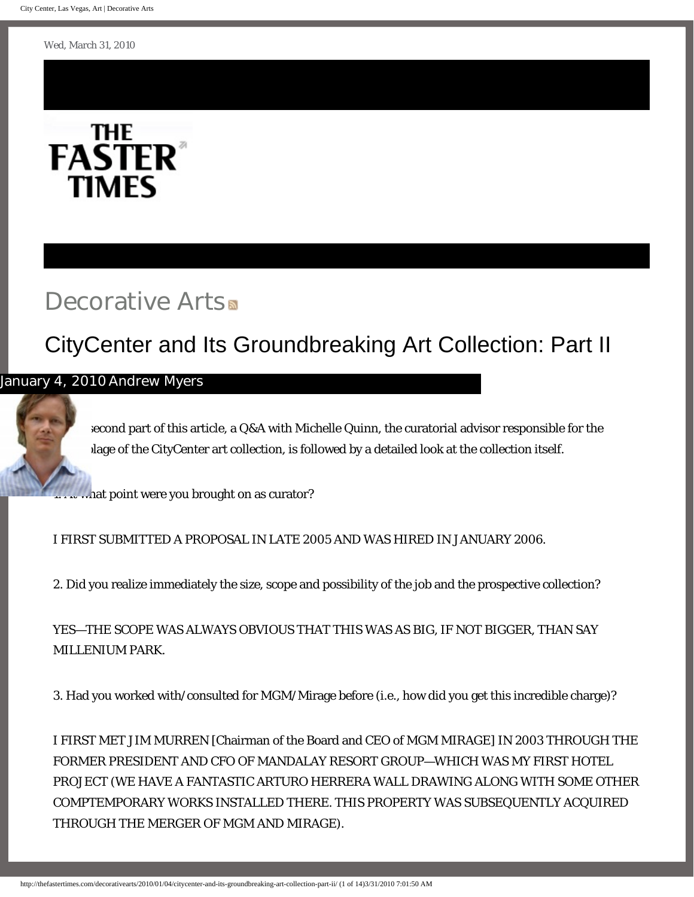<span id="page-0-0"></span>Wed, March 31, 2010



# [Decorative Arts](http://thefastertimes.com/decorativearts).

# [CityCenter and Its Groundbreaking Art Collection: Part II](#page-0-0)

### [January 4, 201](http://thefastertimes.com/about/?u=andrewmyers)0 [Andrew Myers](http://thefastertimes.com/about/?u=andrewmyers)

In tecond part of this article, a Q&A with Michelle Quinn, the curatorial advisor responsible for the lage of the CityCenter art collection, is followed by a detailed look at the collection itself.

what point were you brought on as curator?

I FIRST SUBMITTED A PROPOSAL IN LATE 2005 AND WAS HIRED IN JANUARY 2006.

2. Did you realize immediately the size, scope and possibility of the job and the prospective collection?

[YE](http://thefastertimes.com/bignews)[S—T](http://thefastertimes.com/civilliberties)[HE SCOP](http://thefastertimes.com/thecaliforniaeconomy)[E](http://thefastertimes.com/baseballandphilosophy) [WA](http://thefastertimes.com/awkwardmomentsadvice)S ALWAYS OBVIOUS THAT THIS WAS AS BIG, IF NOT BIGGER, [THAN SAY](http://thefastertimes.com/buildingsthesection)  [MI](http://thefastertimes.com/diplomacy)[LLE](http://thefastertimes.com/thecaucasus)[N](http://thefastertimes.com/campaigntrail)[I](http://thefastertimes.com/economicscene)[U](http://thefastertimes.com/eatingandwriting)[M PARK.](http://thefastertimes.com/baseballbythenumbers)

[3. Had y](http://thefastertimes.com/mediaanalysis)[ou](http://thefastertimes.com/personalfinance) [w](http://thefastertimes.com/historyofscience)orked with/consulted for MGM/Mirage before (i.e., how did you get this incre[dible charge\)?](http://thefastertimes.com/decorativearts)

[I FIRST ME](http://thefastertimes.com/politicalnotebook)[T](http://thefastertimes.com/nonsensereviews) JIM MURREN [Chairman of the Board and CEO of MGM MIRAGE] IN 2003 THROUGH THE FORMER PRESIDENT AND CFO OF MANDALAY RESORT GROUP—WHICH WAS MY FIRST HOTEL [PROJEC](http://thefastertimes.com/politicalhumor)[T \(](http://thefastertimes.com/musicandculture)[WE](http://thefastertimes.com/medicineandsociety) [HAVE A F](http://thefastertimes.com/unconventionalrelationships)ANTASTIC ARTURO HERRERA WALL DRAWING ALONG WITH SOME OTHER [COMPTEMP](http://thefastertimes.com/lebanonandsyria)[ORA](http://thefastertimes.com/healthinvestigations)RY WORKS INSTALLED THERE. THIS PROPERTY WAS SUBSEQUENTLY ACQUIRED [THROUG](http://thefastertimes.com/politicalupdate)[H THE M](http://thefastertimes.com/childrenandresearch)ERGER OF MGM AND MIRAGE).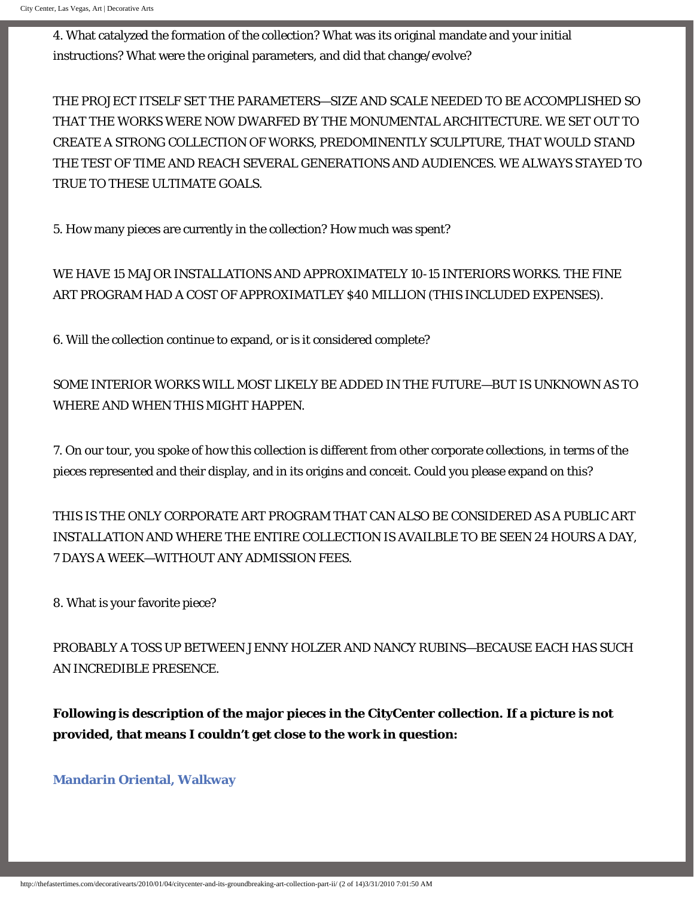[4.](http://thefastertimes.com/Palestine) [What cat](http://thefastertimes.com/parentingethics)alyzed the formation of the collection? What was its original mandate and your initial [instructions?](http://thefastertimes.com/internationalfood) What were the original parameters, and did that change/evolve?

[THE PROJECT ITSE](http://thefastertimes.com/scandinaviaandiceland)LF SET THE PARAMETERS—SIZE AND SCALE NEEDED TO BE ACCOMPLISHED SO [THAT THE WORKS WERE N](http://thefastertimes.com/southerneuropeandthebalkans)OW DWARFED BY THE MONUMENTAL ARCHITECTURE. WE SET OUT TO [CREATE](http://thefastertimes.com/grownupkids) A STRONG COLLECTION OF WORKS, PREDOMINENTLY SCULPTURE, THAT WOULD STAND [THE TEST](http://thefastertimes.com/westerneurope) OF TIME AND REACH SEVERAL GENERATIONS AND AUDIENCES. WE ALWAYS STAYED TO [TRUE T](http://thefastertimes.com/chinesemedia)[O THE](http://thefastertimes.com/documentaryfilms)SE ULTIMATE GOALS.

5. How many pieces are currently in the collection? How much was spent?

[WE HA](http://thefastertimes.com/immigration)VE 15 MAJOR INSTALLATIONS AND APPROXIMATELY 10-15 INTERIORS WORKS. THE FINE [ART PROGRAM](http://thefastertimes.com/internationalenergy) HAD A COST OF APPROXIMATLEY \$40 MILLION (THIS INCLUDED EXPENSES).

[6. Will the collection](http://thefastertimes.com/protofascistmovements) continue to expand, or is it considered complete?

[SOME INTERIOR](http://thefastertimes.com/nukesandotherwmd) WORKS WILL MOST LIKELY BE ADDED IN THE FUTURE—BUT IS UNKNOWN AS TO [WHERE](http://thefastertimes.com/thecaribbean) AND WHEN THIS MIGHT HAPPEN.

[7. On our](http://thefastertimes.com/southamerica) tour, you spoke of how this collection is different from other corporate collections, in terms of the [pieces rep](http://thefastertimes.com/southeastasia)resented and their display, and in its origins and conceit. Could you please expand on this?

THIS IS THE ONLY CORPORATE ART PROGRAM THAT CAN ALSO BE CONSIDERED AS A PUBLIC ART INSTALLATION AND WHERE THE ENTIRE COLLECTION IS AVAILBLE TO BE SEEN 24 HOURS A DAY, 7 DAYS A WEEK—WITHOUT ANY ADMISSION FEES.

8. What is your favorite piece?

PROBABLY A TOSS UP BETWEEN JENNY HOLZER AND NANCY RUBINS—BECAUSE EACH HAS SUCH AN INCREDIBLE PRESENCE.

**Following is description of the major pieces in the CityCenter collection. If a picture is not provided, that means I couldn't get close to the work in question:**

**[Mandarin Oriental, Walkway](http://www.citycenter.com/press_room/press_room_mandarin_oriental.aspx)**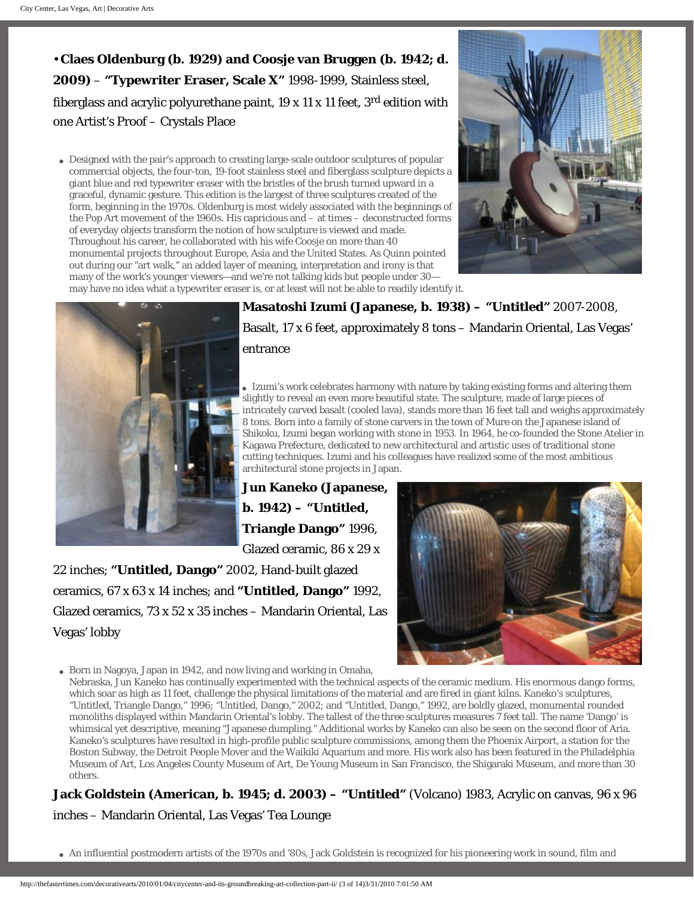• **Claes Oldenburg (b. 1929) and Coosje van Bruggen (b. 1942; d. 2009)** – **"Typewriter Eraser, Scale X"** 1998-1999, Stainless steel, fiberglass and acrylic polyurethane paint,  $19 \times 11 \times 11$  feet,  $3<sup>rd</sup>$  edition with one Artist's Proof – Crystals Place

• Designed with the pair's approach to creating large-scale outdoor sculptures of popular commercial objects, the four-ton, 19-foot stainless steel and fiberglass sculpture depicts a giant blue and red typewriter eraser with the bristles of the brush turned upward in a graceful, dynamic gesture. This edition is the largest of three sculptures created of the form, beginning in the 1970s. Oldenburg is most widely associated with the beginnings of the Pop Art movement of the 1960s. His capricious and – at times – deconstructed forms of everyday objects transform the notion of how sculpture is viewed and made. Throughout his career, he collaborated with his wife Coosje on more than 40 monumental projects throughout Europe, Asia and the United States. As Quinn pointed out during our "art walk," an added layer of meaning, interpretation and irony is that many of the work's younger viewers—and we're not talking kids but people under 30 may have no idea what a typewriter eraser is, or at least will not be able to readily identify it.





**Masatoshi Izumi (Japanese, b. 1938) – "Untitled"** 2007-2008, Basalt, 17 x 6 feet, approximately 8 tons – Mandarin Oriental, Las Vegas' entrance

• Izumi's work celebrates harmony with nature by taking existing forms and altering them slightly to reveal an even more beautiful state. The sculpture, made of large pieces of intricately carved basalt (cooled lava), stands more than 16 feet tall and weighs approximately 8 tons. Born into a family of stone carvers in the town of Mure on the Japanese island of Shikoku, Izumi began working with stone in 1953. In 1964, he co-founded the Stone Atelier in Kagawa Prefecture, dedicated to new architectural and artistic uses of traditional stone cutting techniques. Izumi and his colleagues have realized some of the most ambitious architectural stone projects in Japan.

**Jun Kaneko (Japanese, b. 1942) – "Untitled, Triangle Dango"** 1996, Glazed ceramic, 86 x 29 x

22 inches; **"Untitled, Dango"** 2002, Hand-built glazed ceramics, 67 x 63 x 14 inches; and **"Untitled, Dango"** 1992, Glazed ceramics, 73 x 52 x 35 inches – Mandarin Oriental, Las Vegas' lobby



• Born in Nagoya, Japan in 1942, and now living and working in Omaha,

Nebraska, Jun Kaneko has continually experimented with the technical aspects of the ceramic medium. His enormous dango forms, which soar as high as 11 feet, challenge the physical limitations of the material and are fired in giant kilns. Kaneko's sculptures, "Untitled, Triangle Dango," 1996; "Untitled, Dango," 2002; and "Untitled, Dango," 1992, are boldly glazed, monumental rounded monoliths displayed within Mandarin Oriental's lobby. The tallest of the three sculptures measures 7 feet tall. The name 'Dango' is whimsical yet descriptive, meaning "Japanese dumpling." Additional works by Kaneko can also be seen on the second floor of Aria. Kaneko's sculptures have resulted in high-profile public sculpture commissions, among them the Phoenix Airport, a station for the Boston Subway, the Detroit People Mover and the Waikiki Aquarium and more. His work also has been featured in the Philadelphia Museum of Art, Los Angeles County Museum of Art, De Young Museum in San Francisco, the Shigaraki Museum, and more than 30 others.

**Jack Goldstein (American, b. 1945; d. 2003) – "Untitled"** (Volcano) 1983, Acrylic on canvas, 96 x 96 inches – Mandarin Oriental, Las Vegas' Tea Lounge

• An influential postmodern artists of the 1970s and '80s, Jack Goldstein is recognized for his pioneering work in sound, film and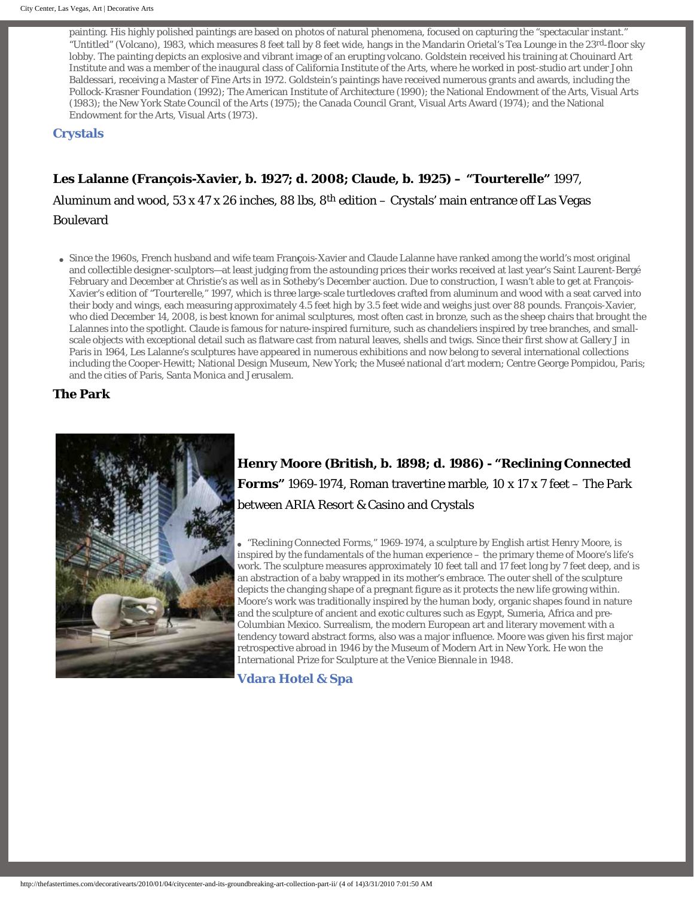painting. His highly polished paintings are based on photos of natural phenomena, focused on capturing the "spectacular instant." "Untitled" (Volcano), 1983, which measures 8 feet tall by 8 feet wide, hangs in the Mandarin Orietal's Tea Lounge in the 23rd-floor sky lobby. The painting depicts an explosive and vibrant image of an erupting volcano. Goldstein received his training at Chouinard Art Institute and was a member of the inaugural class of California Institute of the Arts, where he worked in post-studio art under John Baldessari, receiving a Master of Fine Arts in 1972. Goldstein's paintings have received numerous grants and awards, including the Pollock-Krasner Foundation (1992); The American Institute of Architecture (1990); the National Endowment of the Arts, Visual Arts (1983); the New York State Council of the Arts (1975); the Canada Council Grant, Visual Arts Award (1974); and the National Endowment for the Arts, Visual Arts (1973).

**[Crystals](http://www.citycenter.com/press_room/press_room_crystals.aspx)**

#### **Les Lalanne (François-Xavier, b. 1927; d. 2008; Claude, b. 1925) – "Tourterelle"** 1997,

Aluminum and wood, 53 x 47 x 26 inches, 88 lbs,  $8<sup>th</sup>$  edition – Crystals' main entrance off Las Vegas Boulevard

● Since the 1960s, French husband and wife team Fran**ç**ois-Xavier and Claude Lalanne have ranked among the world's most original and collectible designer-sculptors—at least judging from the astounding prices their works received at last year's Saint Laurent-Bergé February and December at Christie's as well as in Sotheby's December auction. Due to construction, I wasn't able to get at François-Xavier's edition of "Tourterelle," 1997, which is three large-scale turtledoves crafted from aluminum and wood with a seat carved into their body and wings, each measuring approximately 4.5 feet high by 3.5 feet wide and weighs just over 88 pounds. François-Xavier, who died December 14, 2008, is best known for animal sculptures, most often cast in bronze, such as the sheep chairs that brought the Lalannes into the spotlight. Claude is famous for nature-inspired furniture, such as chandeliers inspired by tree branches, and smallscale objects with exceptional detail such as flatware cast from natural leaves, shells and twigs. Since their first show at Gallery J in Paris in 1964, Les Lalanne's sculptures have appeared in numerous exhibitions and now belong to several international collections including the Cooper-Hewitt; National Design Museum, New York; the Museé national d'art modern; Centre George Pompidou, Paris; and the cities of Paris, Santa Monica and Jerusalem.

**The Park**



## **Henry Moore (British, b. 1898; d. 1986) - "Reclining Connected Forms"** 1969-1974, Roman travertine marble, 10 x 17 x 7 feet – The Park between ARIA Resort & Casino and Crystals

• "Reclining Connected Forms," 1969-1974, a sculpture by English artist Henry Moore, is inspired by the fundamentals of the human experience – the primary theme of Moore's life's work. The sculpture measures approximately 10 feet tall and 17 feet long by 7 feet deep, and is an abstraction of a baby wrapped in its mother's embrace. The outer shell of the sculpture depicts the changing shape of a pregnant figure as it protects the new life growing within. Moore's work was traditionally inspired by the human body, organic shapes found in nature and the sculpture of ancient and exotic cultures such as Egypt, Sumeria, Africa and pre-Columbian Mexico. Surrealism, the modern European art and literary movement with a tendency toward abstract forms, also was a major influence. Moore was given his first major retrospective abroad in 1946 by the Museum of Modern Art in New York. He won the International Prize for Sculpture at the Venice *Biennale* in 1948.

#### **[Vdara Hotel & Spa](http://www.vdara.com/)**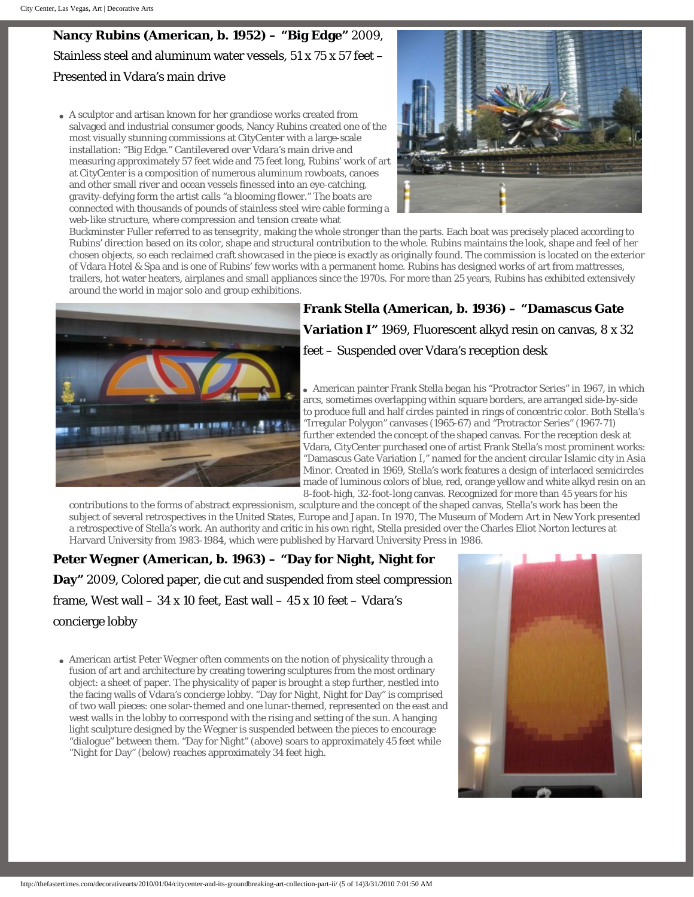**Nancy Rubins (American, b. 1952) – "Big Edge"** 2009, Stainless steel and aluminum water vessels, 51 x 75 x 57 feet – Presented in Vdara's main drive

• A sculptor and artisan known for her grandiose works created from salvaged and industrial consumer goods, Nancy Rubins created one of the most visually stunning commissions at CityCenter with a large-scale installation: "Big Edge." Cantilevered over Vdara's main drive and measuring approximately 57 feet wide and 75 feet long, Rubins' work of art at CityCenter is a composition of numerous aluminum rowboats, canoes and other small river and ocean vessels finessed into an eye-catching, gravity-defying form the artist calls "a blooming flower." The boats are connected with thousands of pounds of stainless steel wire cable forming a web-like structure, where compression and tension create what



Buckminster Fuller referred to as *tensegrity*, making the whole stronger than the parts. Each boat was precisely placed according to Rubins' direction based on its color, shape and structural contribution to the whole. Rubins maintains the look, shape and feel of her chosen objects, so each reclaimed craft showcased in the piece is exactly as originally found. The commission is located on the exterior of Vdara Hotel & Spa and is one of Rubins' few works with a permanent home. Rubins has designed works of art from mattresses, trailers, hot water heaters, airplanes and small appliances since the 1970s. For more than 25 years, Rubins has exhibited extensively around the world in major solo and group exhibitions.



**Frank Stella (American, b. 1936) – "Damascus Gate Variation I"** 1969, Fluorescent alkyd resin on canvas, 8 x 32 feet – Suspended over Vdara's reception desk

● American painter Frank Stella began his "Protractor Series" in 1967, in which arcs, sometimes overlapping within square borders, are arranged side-by-side to produce full and half circles painted in rings of concentric color. Both Stella's "Irregular Polygon" canvases (1965-67) and "Protractor Series" (1967-71) further extended the concept of the shaped canvas. For the reception desk at Vdara, CityCenter purchased one of artist Frank Stella's most prominent works: "Damascus Gate Variation I," named for the ancient circular Islamic city in Asia Minor. Created in 1969, Stella's work features a design of interlaced semicircles made of luminous colors of blue, red, orange yellow and white alkyd resin on an 8-foot-high, 32-foot-long canvas. Recognized for more than 45 years for his

contributions to the forms of abstract expressionism, sculpture and the concept of the shaped canvas, Stella's work has been the subject of several retrospectives in the United States, Europe and Japan. In 1970, The Museum of Modern Art in New York presented a retrospective of Stella's work. An authority and critic in his own right, Stella presided over the Charles Eliot Norton lectures at Harvard University from 1983-1984, which were published by Harvard University Press in 1986.

## **Peter Wegner (American, b. 1963) – "Day for Night, Night for Day"** 2009, Colored paper, die cut and suspended from steel compression frame, West wall  $-34$  x 10 feet, East wall  $-45$  x 10 feet  $-$  Vdara's concierge lobby

• American artist Peter Wegner often comments on the notion of physicality through a fusion of art and architecture by creating towering sculptures from the most ordinary object: a sheet of paper. The physicality of paper is brought a step further, nestled into the facing walls of Vdara's concierge lobby. "Day for Night, Night for Day" is comprised of two wall pieces: one solar-themed and one lunar-themed, represented on the east and west walls in the lobby to correspond with the rising and setting of the sun. A hanging light sculpture designed by the Wegner is suspended between the pieces to encourage "dialogue" between them. "Day for Night" (above) soars to approximately 45 feet while "Night for Day" (below) reaches approximately 34 feet high.

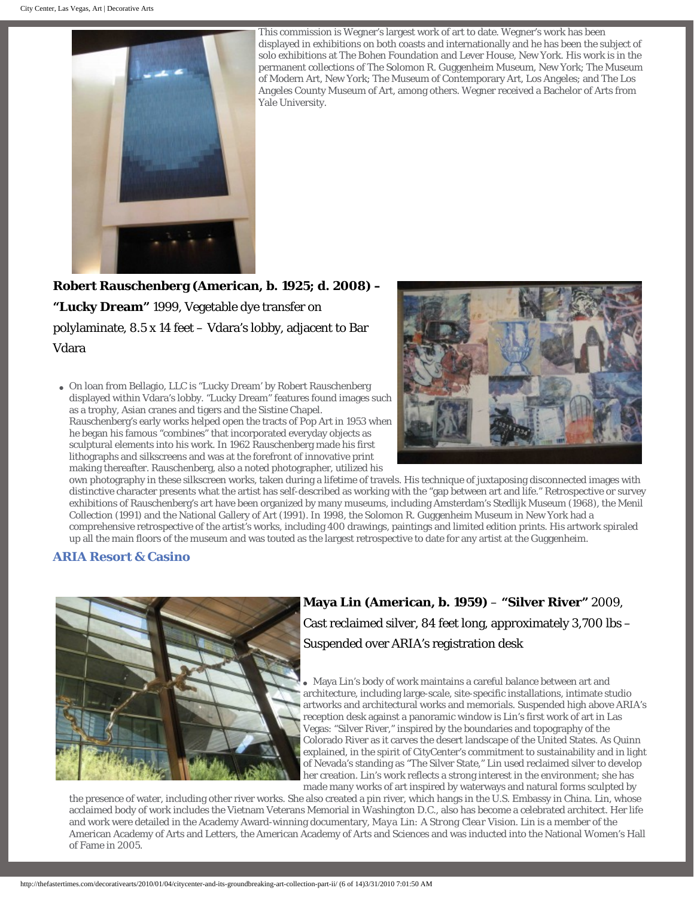

This commission is Wegner's largest work of art to date. Wegner's work has been displayed in exhibitions on both coasts and internationally and he has been the subject of solo exhibitions at The Bohen Foundation and Lever House, New York. His work is in the permanent collections of The Solomon R. Guggenheim Museum, New York; The Museum of Modern Art, New York; The Museum of Contemporary Art, Los Angeles; and The Los Angeles County Museum of Art, among others. Wegner received a Bachelor of Arts from Yale University.

**Robert Rauschenberg (American, b. 1925; d. 2008) – "Lucky Dream"** 1999, Vegetable dye transfer on polylaminate, 8.5 x 14 feet – Vdara's lobby, adjacent to Bar Vdara

● On loan from Bellagio, LLC is "Lucky Dream' by Robert Rauschenberg displayed within Vdara's lobby. "Lucky Dream" features found images such as a trophy, Asian cranes and tigers and the Sistine Chapel. Rauschenberg's early works helped open the tracts of Pop Art in 1953 when he began his famous "combines" that incorporated everyday objects as sculptural elements into his work. In 1962 Rauschenberg made his first lithographs and silkscreens and was at the forefront of innovative print making thereafter. Rauschenberg, also a noted photographer, utilized his



own photography in these silkscreen works, taken during a lifetime of travels. His technique of juxtaposing disconnected images with distinctive character presents what the artist has self-described as working with the "gap between art and life." Retrospective or survey exhibitions of Rauschenberg's art have been organized by many museums, including Amsterdam's Stedlijk Museum (1968), the Menil Collection (1991) and the National Gallery of Art (1991). In 1998, the Solomon R. Guggenheim Museum in New York had a comprehensive retrospective of the artist's works, including 400 drawings, paintings and limited edition prints. His artwork spiraled up all the main floors of the museum and was touted as the largest retrospective to date for any artist at the Guggenheim.

#### **[ARIA Resort & Casino](http://www.arialasvegas.com/)**



# **Maya Lin (American, b. 1959)** – **"Silver River"** 2009, Cast reclaimed silver, 84 feet long, approximately 3,700 lbs – Suspended over ARIA's registration desk

• Maya Lin's body of work maintains a careful balance between art and architecture, including large-scale, site-specific installations, intimate studio artworks and architectural works and memorials. Suspended high above ARIA's reception desk against a panoramic window is Lin's first work of art in Las Vegas: "Silver River," inspired by the boundaries and topography of the Colorado River as it carves the desert landscape of the United States. As Quinn explained, in the spirit of CityCenter's commitment to sustainability and in light of Nevada's standing as "The Silver State," Lin used reclaimed silver to develop her creation. Lin's work reflects a strong interest in the environment; she has made many works of art inspired by waterways and natural forms sculpted by

the presence of water, including other river works. She also created a pin river, which hangs in the U.S. Embassy in China. Lin, whose acclaimed body of work includes the Vietnam Veterans Memorial in Washington D.C., also has become a celebrated architect. Her life and work were detailed in the Academy Award-winning documentary, *Maya Lin: A Strong Clear Vision*. Lin is a member of the American Academy of Arts and Letters, the American Academy of Arts and Sciences and was inducted into the National Women's Hall of Fame in 2005.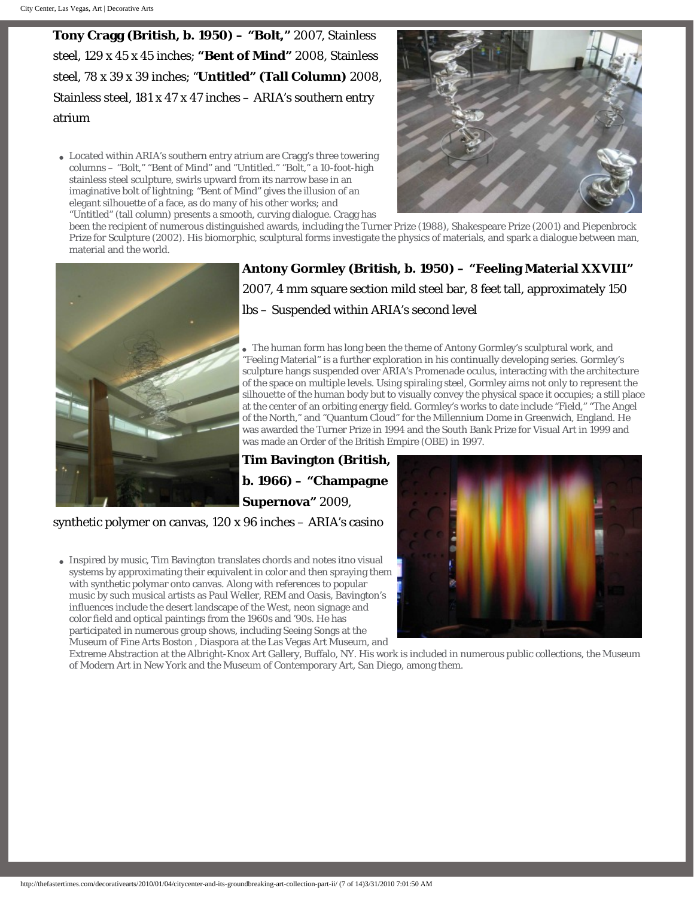**Tony Cragg (British, b. 1950) – "Bolt,"** 2007, Stainless steel, 129 x 45 x 45 inches; **"Bent of Mind"** 2008, Stainless steel, 78 x 39 x 39 inches; "**Untitled" (Tall Column)** 2008, Stainless steel, 181 x 47 x 47 inches – ARIA's southern entry atrium

• Located within ARIA's southern entry atrium are Cragg's three towering columns – "Bolt," "Bent of Mind" and "Untitled." "Bolt," a 10-foot-high stainless steel sculpture, swirls upward from its narrow base in an imaginative bolt of lightning; "Bent of Mind" gives the illusion of an elegant silhouette of a face, as do many of his other works; and "Untitled" (tall column) presents a smooth, curving dialogue. Cragg has



been the recipient of numerous distinguished awards, including the Turner Prize (1988), Shakespeare Prize (2001) and Piepenbrock Prize for Sculpture (2002). His biomorphic, sculptural forms investigate the physics of materials, and spark a dialogue between man, material and the world.



**Antony Gormley (British, b. 1950) – "Feeling Material XXVIII"**  2007, 4 mm square section mild steel bar, 8 feet tall, approximately 150 lbs – Suspended within ARIA's second level

The human form has long been the theme of Antony Gormley's sculptural work, and "Feeling Material" is a further exploration in his continually developing series. Gormley's sculpture hangs suspended over ARIA's Promenade oculus, interacting with the architecture of the space on multiple levels. Using spiraling steel, Gormley aims not only to represent the silhouette of the human body but to visually convey the physical space it occupies; a still place at the center of an orbiting energy field. Gormley's works to date include "Field," "The Angel of the North," and "Quantum Cloud" for the Millennium Dome in Greenwich, England. He was awarded the Turner Prize in 1994 and the South Bank Prize for Visual Art in 1999 and was made an Order of the British Empire (OBE) in 1997.

## **Tim Bavington (British, b. 1966) – "Champagne Supernova"** 2009,

synthetic polymer on canvas, 120 x 96 inches – ARIA's casino

• Inspired by music, Tim Bavington translates chords and notes itno visual systems by approximating their equivalent in color and then spraying them with synthetic polymar onto canvas. Along with references to popular music by such musical artists as Paul Weller, REM and Oasis, Bavington's influences include the desert landscape of the West, neon signage and color field and optical paintings from the 1960s and '90s. He has participated in numerous group shows, including Seeing Songs at the Museum of Fine Arts Boston , Diaspora at the Las Vegas Art Museum, and



Extreme Abstraction at the Albright-Knox Art Gallery, Buffalo, NY. His work is included in numerous public collections, the Museum of Modern Art in New York and the Museum of Contemporary Art, San Diego, among them.